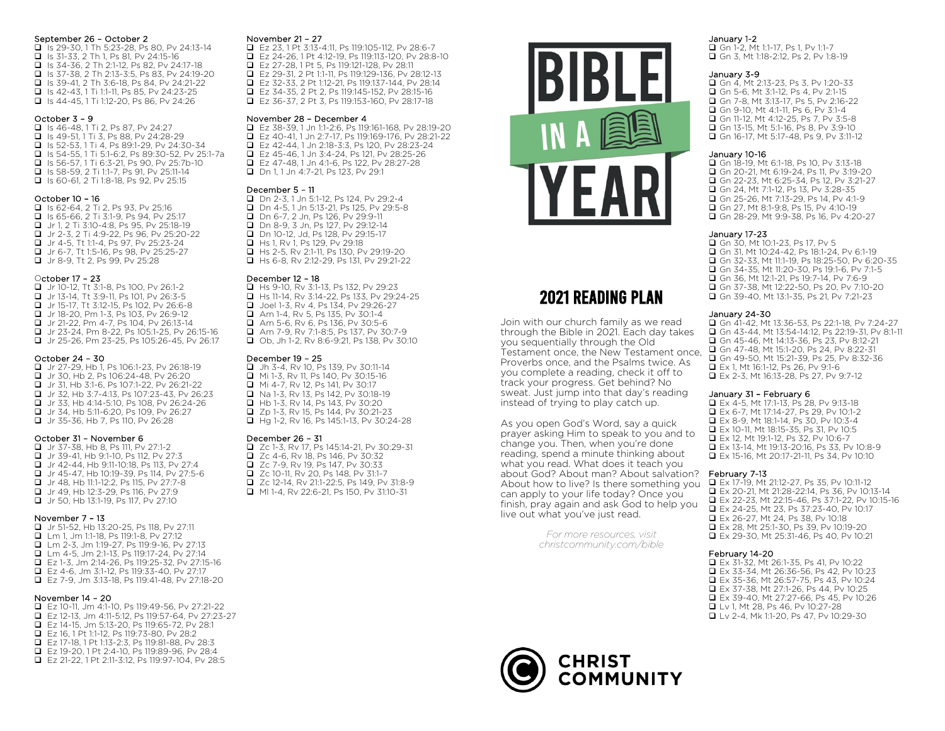#### September 26 – October 2

**■** Is 29-30, 1 Th 5:23-28, Ps 80, Pv 24:13-14 **q** Is 31-33, 2 Th 1, Ps 81, Pv 24:15-16 **■ Is 34-36, 2 Th 2:1-12, Ps 82, Pv 24:17-18 ■ Is 37-38, 2 Th 2:13-3:5, Ps 83, Pv 24:19-20**  $\Box$  Is 39-41, 2 Th 3:6-18, Ps 84, Py 24:21-22 **q** Is 42-43, 1 Ti 1:1-11, Ps 85, Py 24:23-25 **■ Is 44-45, 1 Ti 1:12-20, Ps 86, Pv 24:26** 

#### October 3 – 9

**■ Is 46-48, 1 Ti 2, Ps 87, Pv 24:27 q** Is 49-51, 1 Ti 3, Ps 88, Pv 24:28-29 **■ Is 52-53, 1 Ti 4, Ps 89:1-29, Pv 24:30-34** q Is 54-55, 1 Ti 5:1-6:2, Ps 89:30-52, Pv 25:1-7a **■ Is 56-57, 1 Ti 6:3-21, Ps 90, Pv 25:7b-10 ■ Is 58-59, 2 Ti 1:1-7, Ps 91, Pv 25:11-14 ■ Is 60-61, 2 Ti 1:8-18, Ps 92, Pv 25:15** 

#### October 10 – 16

**■ Is 62-64, 2 Ti 2, Ps 93, Pv 25:16 ■ Is 65-66, 2 Ti 3:1-9, Ps 94, Pv 25:17** q Jr 1, 2 Ti 3:10-4:8, Ps 95, Pv 25:18-19 **■** Jr 2-3, 2 Ti 4:9-22, Ps 96, Pv 25:20-22 **■** Jr 4-5, Tt 1:1-4, Ps 97, Pv 25:23-24 ■ Jr 6-7, Tt 1:5-16, Ps 98, Pv 25:25-27 **■** Jr 8-9, Tt 2, Ps 99, Pv 25:28

#### October 17 – 23

**■** Jr 10-12, Tt 3:1-8, Ps 100, Pv 26:1-2 q Jr 13-14, Tt 3:9-11, Ps 101, Pv 26:3-5 q Jr 15-17, Tt 3:12-15, Ps 102, Pv 26:6-8 **q** Jr 18-20, Pm 1-3, Ps 103, Pv 26:9-12 q Jr 21-22, Pm 4-7, Ps 104, Pv 26:13-14 q Jr 23-24, Pm 8-22, Ps 105:1-25, Pv 26:15-16 ■ Jr 25-26, Pm 23-25, Ps 105:26-45, Pv 26:17

#### October 24 – 30

q Jr 27-29, Hb 1, Ps 106:1-23, Pv 26:18-19 **u** Jr 30, Hb 2, Ps 106:24-48, Pv 26:20 q Jr 31, Hb 3:1-6, Ps 107:1-22, Pv 26:21-22 q Jr 32, Hb 3:7-4:13, Ps 107:23-43, Pv 26:23 **■** Jr 33, Hb 4:14-5:10, Ps 108, Pv 26:24-26 q Jr 34, Hb 5:11-6:20, Ps 109, Pv 26:27 q Jr 35-36, Hb 7, Ps 110, Pv 26:28

#### October 31 – November 6

q Jr 37-38, Hb 8, Ps 111, Pv 27:1-2 **q** Jr 39-41, Hb 9:1-10, Ps 112, Pv 27:3 **■** Jr 42-44, Hb 9:11-10:18, Ps 113, Pv 27:4 **■** Jr 45-47, Hb 10:19-39, Ps 114, Pv 27:5-6 q Jr 48, Hb 11:1-12:2, Ps 115, Pv 27:7-8 **■** Jr 49, Hb 12:3-29, Ps 116, Pv 27:9 **u** Jr 50, Hb 13:1-19, Ps 117, Pv 27:10

#### November 7 – 13

q Jr 51-52, Hb 13:20-25, Ps 118, Pv 27:11 **q** Lm 1, Jm 1:1-18, Ps 119:1-8, Pv 27:12 **■** Lm 2-3, Jm 1:19-27, Ps 119:9-16, Pv 27:13 **■** Lm 4-5, Jm 2:1-13, Ps 119:17-24, Pv 27:14 q Ez 1-3, Jm 2:14-26, Ps 119:25-32, Pv 27:15-16 q Ez 4-6, Jm 3:1-12, Ps 119:33-40, Pv 27:17 q Ez 7-9, Jm 3:13-18, Ps 119:41-48, Pv 27:18-20

#### November 14 – 20

- q Ez 10-11, Jm 4:1-10, Ps 119:49-56, Pv 27:21-22 q Ez 12-13, Jm 4:11-5:12, Ps 119:57-64, Pv 27:23-27
- q Ez 14-15, Jm 5:13-20, Ps 119:65-72, Pv 28:1
- q Ez 16, 1 Pt 1:1-12, Ps 119:73-80, Pv 28:2
- q Ez 17-18, 1 Pt 1:13-2:3, Ps 119:81-88, Pv 28:3
- q Ez 19-20, 1 Pt 2:4-10, Ps 119:89-96, Pv 28:4
- q Ez 21-22, 1 Pt 2:11-3:12, Ps 119:97-104, Pv 28:5

#### November 21 – 27

q Ez 23, 1 Pt 3:13-4:11, Ps 119:105-112, Pv 28:6-7 q Ez 24-26, 1 Pt 4:12-19, Ps 119:113-120, Pv 28:8-10 q Ez 27-28, 1 Pt 5, Ps 119:121-128, Pv 28:11 Ez 29-31, 2 Pt 1:1-11, Ps 119:129-136, Pv 28:12-13 q Ez 32-33, 2 Pt 1:12-21, Ps 119:137-144, Pv 28:14 q Ez 34-35, 2 Pt 2, Ps 119:145-152, Pv 28:15-16 q Ez 36-37, 2 Pt 3, Ps 119:153-160, Pv 28:17-18

#### November 28 – December 4

 $\Box$  Ez 38-39, 1 Jn 1:1-2:6, Ps 119:161-168, Pv 28:19-20<br> $\Box$  Ez 40-41, 1 Jn 2:7-17, Ps 119:169-176, Pv 28:21-22 q Ez 40-41, 1 Jn 2:7-17, Ps 119:169-176, Pv 28:21-22 q Ez 42-44, 1 Jn 2:18-3:3, Ps 120, Pv 28:23-24 q Ez 45-46, 1 Jn 3:4-24, Ps 121, Pv 28:25-26 q Ez 47-48, 1 Jn 4:1-6, Ps 122, Pv 28:27-28 **D** Dn 1, 1 Jn 4:7-21, Ps 123, Pv 29:1

#### December 5 – 11

q Dn 2-3, 1 Jn 5:1-12, Ps 124, Pv 29:2-4 **Q** Dn 4-5, 1 Jn 5:13-21, Ps 125, Pv 29:5-8 **D** Dn 6-7, 2 Jn, Ps 126, Pv 29:9-11 **D** Dn 8-9, 3 Jn, Ps 127, Pv 29:12-14 **Q** Dn 10-12, Jd, Ps 128, Pv 29:15-17 **u** Hs 1, Rv 1, Ps 129, Pv 29:18 ■ Hs 2-5, Rv 2:1-11, Ps 130, Pv 29:19-20 ■ Hs 6-8, Rv 2:12-29, Ps 131, Pv 29:21-22

# December 12 – 18

**a** Hs 9-10, Rv 3:1-13, Ps 132, Pv 29:23 **a** Hs 11-14, Rv 3:14-22, Ps 133, Pv 29:24-25 **□** Joel 1-3, Rv 4, Ps 134, Pv 29:26-27 q Am 1-4, Rv 5, Ps 135, Pv 30:1-4 q Am 5-6, Rv 6, Ps 136, Pv 30:5-6 q Am 7-9, Rv 7:1-8:5, Ps 137, Pv 30:7-9 q Ob, Jh 1-2, Rv 8:6-9:21, Ps 138, Pv 30:10

### December 19 – 25

q Jh 3-4, Rv 10, Ps 139, Pv 30:11-14 q Mi 1-3, Rv 11, Ps 140, Pv 30:15-16 ■ Mi 4-7, Rv 12, Ps 141, Pv 30:17 **■ Na 1-3, Rv 13, Ps 142, Pv 30:18-19 u** Hb 1-3, Rv 14, Ps 143, Pv 30:20 **Q** Zp 1-3, Ry 15, Ps 144, Py 30:21-23 q Hg 1-2, Rv 16, Ps 145:1-13, Pv 30:24-28

# December 26 – 31

■ Zc 1-3, Rv 17, Ps 145:14-21, Pv 30:29-31  $\Box$  Zc 4-6, Rv 18, Ps 146, Pv 30:32 q Zc 7-9, Rv 19, Ps 147, Pv 30:33 q Zc 10-11, Rv 20, Ps 148, Pv 31:1-7 q Zc 12-14, Rv 21:1-22:5, Ps 149, Pv 31:8-9 q Ml 1-4, Rv 22:6-21, Ps 150, Pv 31:10-31



# 2021 READING PLAN

Join with our church family as we read through the Bible in 2021. Each day takes you sequentially through the Old Testament once, the New Testament once, Proverbs once, and the Psalms twice. As you complete a reading, check it off to track your progress. Get behind? No sweat. Just jump into that day's reading instead of trying to play catch up.

As you open God's Word, say a quick prayer asking Him to speak to you and to change you. Then, when you're done reading, spend a minute thinking about what you read. What does it teach you about God? About man? About salvation? About how to live? Is there something you can apply to your life today? Once you finish, pray again and ask God to help you live out what you've just read.

> *For more resources, visit christcommunity.com/bible*

### January 1-2

**□** Gn 1-2, Mt 1:1-17, Ps 1, Pv 1:1-7 **■ Gn 3, Mt 1:18-2:12, Ps 2, Pv 1:8-19** 

## January 3-9

**Q** Gn 4, Mt 2:13-23, Ps 3, Pv 1:20-33  $\Box$  Gn 5-6, Mt 3:1-12, Ps 4, Pv 2:1-15 **■ Gn 7-8, Mt 3:13-17, Ps 5, Pv 2:16-22 Q** Gn 9-10, Mt 4:1-11, Ps 6, Pv 3:1-4 Gn 11-12, Mt 4:12-25, Ps 7, Pv 3:5-8 q Gn 13-15, Mt 5:1-16, Ps 8, Pv 3:9-10 q Gn 16-17, Mt 5:17-48, Ps 9, Pv 3:11-12

# January 10-16

q Gn 18-19, Mt 6:1-18, Ps 10, Pv 3:13-18 **■ Gn 20-21, Mt 6:19-24, Ps 11, Pv 3:19-20** Gn 22-23, Mt 6:25-34, Ps 12, Pv 3:21-27 Gn 24, Mt 7:1-12, Ps 13, Pv 3:28-35 **q** Gn 25-26, Mt 7:13-29, Ps 14, Pv 4:1-9 **Q** Gn 27, Mt 8:1-9:8, Ps 15, Pv 4:10-19 **■ Gn 28-29, Mt 9:9-38, Ps 16, Pv 4:20-27** 

### January 17-23

 $\Box$  Gn 30, Mt 10:1-23, Ps 17, Pv 5 **□** Gn 31, Mt 10:24-42, Ps 18:1-24, Pv 6:1-19  $\Box$  Gn 32-33, Mt 11:1-19, Ps 18:25-50, Pv 6:20-35 q Gn 34-35, Mt 11:20-30, Ps 19:1-6, Pv 7:1-5 **■ Gn 36, Mt 12:1-21, Ps 19:7-14, Pv 7:6-9** q Gn 37-38, Mt 12:22-50, Ps 20, Pv 7:10-20 Gn 39-40, Mt 13:1-35, Ps 21, Pv 7:21-23

#### January 24-30

**■ Gn 41-42, Mt 13:36-53, Ps 22:1-18, Pv 7:24-27 □ Gn 43-44, Mt 13:54-14:12, Ps 22:19-31, Pv 8:1-11** Gn 45-46, Mt 14:13-36, Ps 23, Pv 8:12-21 **■ Gn 47-48, Mt 15:1-20, Ps 24, Pv 8:22-31 ■ Gn 49-50, Mt 15:21-39, Ps 25, Pv 8:32-36 ■ Ex 1, Mt 16:1-12, Ps 26, Pv 9:1-6** 

□ Ex 2-3, Mt 16:13-28, Ps 27, Pv 9:7-12

# January 31 – February 6

q Ex 4-5, Mt 17:1-13, Ps 28, Pv 9:13-18 q Ex 6-7, Mt 17:14-27, Ps 29, Pv 10:1-2  $\Box$  Ex 8-9, Mt 18:1-14, Ps 30, Pv 10:3-4 ■ Ex 10-11, Mt 18:15-35, Ps 31, Pv 10:5 **■ Ex 12, Mt 19:1-12, Ps 32, Pv 10:6-7** q Ex 13-14, Mt 19:13-20:16, Ps 33, Pv 10:8-9

**■ Ex 15-16, Mt 20:17-21-11, Ps 34, Pv 10:10** 

#### February 7-13

q Ex 17-19, Mt 21:12-27, Ps 35, Pv 10:11-12 q Ex 20-21, Mt 21:28-22:14, Ps 36, Pv 10:13-14 ■ Ex 22-23, Mt 22:15-46, Ps 37:1-22, Pv 10:15-16 ■ Ex 24-25, Mt 23, Ps 37:23-40, Pv 10:17 Ex 26-27, Mt 24, Ps 38, Pv 10:18 q Ex 28, Mt 25:1-30, Ps 39, Pv 10:19-20 q Ex 29-30, Mt 25:31-46, Ps 40, Pv 10:21

# February 14-20

■ Ex 31-32, Mt 26:1-35, Ps 41, Pv 10:22 ■ Ex 33-34, Mt 26:36-56, Ps 42, Pv 10:23 q Ex 35-36, Mt 26:57-75, Ps 43, Pv 10:24 ■ Ex 37-38, Mt 27:1-26, Ps 44, Pv 10:25 □ Ex 39-40, Mt 27:27-66, Ps 45, Pv 10:26 ■ Lv 1, Mt 28, Ps 46, Pv 10:27-28

q Lv 2-4, Mk 1:1-20, Ps 47, Pv 10:29-30